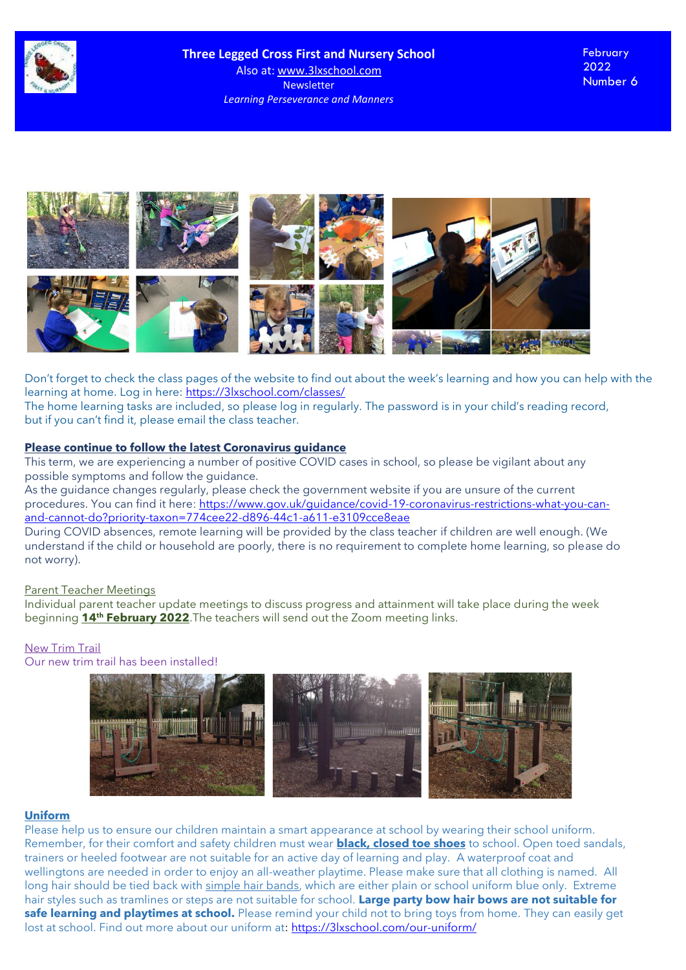



Don't forget to check the class pages of the website to find out about the week's learning and how you can help with the learning at home. Log in here: <https://3lxschool.com/classes/>

The home learning tasks are included, so please log in regularly. The password is in your child's reading record, but if you can't find it, please email the class teacher.

## **Please continue to follow the latest Coronavirus guidance**

This term, we are experiencing a number of positive COVID cases in school, so please be vigilant about any possible symptoms and follow the guidance.

As the guidance changes regularly, please check the government website if you are unsure of the current procedures. You can find it here: [https://www.gov.uk/guidance/covid-19-coronavirus-restrictions-what-you-can](https://www.gov.uk/guidance/covid-19-coronavirus-restrictions-what-you-can-and-cannot-do?priority-taxon=774cee22-d896-44c1-a611-e3109cce8eae)[and-cannot-do?priority-taxon=774cee22-d896-44c1-a611-e3109cce8eae](https://www.gov.uk/guidance/covid-19-coronavirus-restrictions-what-you-can-and-cannot-do?priority-taxon=774cee22-d896-44c1-a611-e3109cce8eae)

During COVID absences, remote learning will be provided by the class teacher if children are well enough. (We understand if the child or household are poorly, there is no requirement to complete home learning, so please do not worry).

#### Parent Teacher Meetings

Individual parent teacher update meetings to discuss progress and attainment will take place during the week beginning **14th February 2022**.The teachers will send out the Zoom meeting links.

# New Trim Trail

Our new trim trail has been installed!



## **Uniform**

Please help us to ensure our children maintain a smart appearance at school by wearing their school uniform. Remember, for their comfort and safety children must wear **black, closed toe shoes** to school. Open toed sandals, trainers or heeled footwear are not suitable for an active day of learning and play. A waterproof coat and wellingtons are needed in order to enjoy an all-weather playtime. Please make sure that all clothing is named. All long hair should be tied back with simple hair bands, which are either plain or school uniform blue only. Extreme hair styles such as tramlines or steps are not suitable for school. **Large party bow hair bows are not suitable for safe learning and playtimes at school.** Please remind your child not to bring toys from home. They can easily get lost at school. Find out more about our uniform at[: https://3lxschool.com/our-uniform/](https://3lxschool.com/our-uniform/)